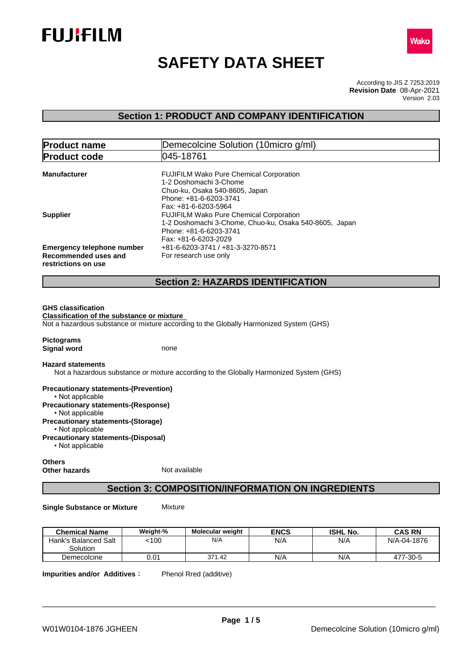



# **SAFETY DATA SHEET**

According to JIS Z 7253:2019 Version 2.03 **Revision Date** 08-Apr-2021

## **Section 1: PRODUCT AND COMPANY IDENTIFICATION**

| <b>Product name</b>                                                              | Demecolcine Solution (10micro g/ml)                                                                                                                          |  |  |
|----------------------------------------------------------------------------------|--------------------------------------------------------------------------------------------------------------------------------------------------------------|--|--|
| <b>Product code</b>                                                              | 1045-18761                                                                                                                                                   |  |  |
| <b>Manufacturer</b>                                                              | <b>FUJIFILM Wako Pure Chemical Corporation</b><br>1-2 Doshomachi 3-Chome<br>Chuo-ku, Osaka 540-8605, Japan<br>Phone: +81-6-6203-3741<br>Fax: +81-6-6203-5964 |  |  |
| <b>Supplier</b>                                                                  | <b>FUJIFILM Wako Pure Chemical Corporation</b><br>1-2 Doshomachi 3-Chome, Chuo-ku, Osaka 540-8605, Japan<br>Phone: +81-6-6203-3741<br>Fax: +81-6-6203-2029   |  |  |
| <b>Emergency telephone number</b><br>Recommended uses and<br>restrictions on use | +81-6-6203-3741 / +81-3-3270-8571<br>For research use only                                                                                                   |  |  |
|                                                                                  | <b>Section 2: HAZARDS IDENTIFICATION</b>                                                                                                                     |  |  |
|                                                                                  |                                                                                                                                                              |  |  |

#### **GHS classification**

**Classification of the substance or mixture** Not a hazardous substance or mixture according to the Globally Harmonized System (GHS)

**Pictograms Signal word** none

#### **Hazard statements**

Not a hazardous substance or mixture according to the Globally Harmonized System (GHS)

**Precautionary statements-(Prevention)** • Not applicable **Precautionary statements-(Response)** • Not applicable **Precautionary statements-(Storage)** • Not applicable **Precautionary statements-(Disposal)**  $\cdot$  Not applicable

#### **Others Other hazards** Not available

## **Section 3: COMPOSITION/INFORMATION ON INGREDIENTS**

**Single Substance or Mixture** Mixture

| <b>Chemical Name</b>             | Weight-% | <b>Molecular weight</b> | <b>ENCS</b> | <b>ISHL No.</b> | <b>CAS RN</b> |
|----------------------------------|----------|-------------------------|-------------|-----------------|---------------|
| Hank's Balanced Salt<br>Solution | 100ء     | N/A                     | N/A         | N/A             | N/A-04-1876   |
| Demecolcine                      | 0.01     | 371.42                  | N/A         | N/A             | 477-30-5      |

**Impurities and/or Additives:** Phenol Rred (additive)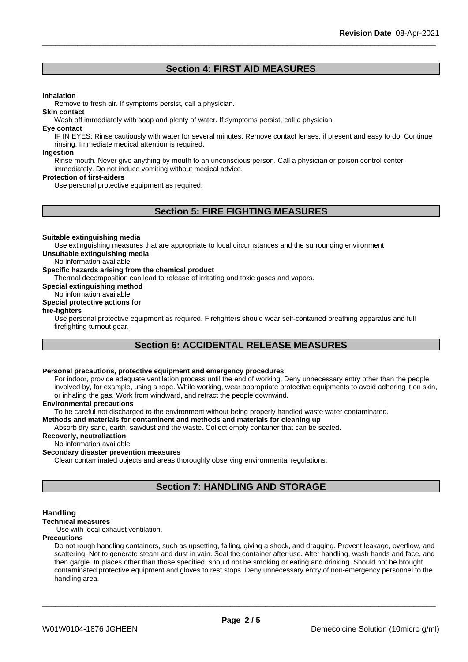## **Section 4: FIRST AID MEASURES**

#### **Inhalation**

Remove to fresh air. If symptoms persist, call a physician.

#### **Skin contact**

Wash off immediately with soap and plenty of water. If symptoms persist, call a physician.

#### **Eye contact**

IF IN EYES: Rinse cautiously with water for several minutes. Remove contact lenses, if present and easy to do. Continue rinsing. Immediate medical attention is required.

#### **Ingestion**

Rinse mouth. Never give anything by mouth to an unconscious person. Call a physician or poison control center immediately. Do not induce vomiting without medical advice.

#### **Protection of first-aiders**

Use personal protective equipment as required.

## **Section 5: FIRE FIGHTING MEASURES**

#### **Suitable extinguishing media**

Use extinguishing measures that are appropriate to local circumstances and the surrounding environment **Unsuitable extinguishing media**

No information available

#### **Specific hazards arising from the chemical product**

Thermal decomposition can lead to release of irritating and toxic gases and vapors.

**Special extinguishing method**

## No information available

## **Special protective actions for**

#### **fire-fighters**

Use personal protective equipment as required.Firefighters should wear self-contained breathing apparatus and full firefighting turnout gear.

## **Section 6: ACCIDENTAL RELEASE MEASURES**

## **Personal precautions, protective equipment and emergency procedures**

For indoor, provide adequate ventilation process until the end of working. Deny unnecessary entry other than the people involved by, for example, using a rope. While working, wear appropriate protective equipments to avoid adhering it on skin, or inhaling the gas. Work from windward, and retract the people downwind.

#### **Environmental precautions**

To be careful not discharged to the environment without being properly handled waste water contaminated.

#### **Methods and materials for contaminent and methods and materials for cleaning up**

Absorb dry sand, earth, sawdust and the waste. Collect empty container that can be sealed.

#### **Recoverly, neutralization**

No information available

#### **Secondary disaster prevention measures**

Clean contaminated objects and areas thoroughly observing environmental regulations.

## **Section 7: HANDLING AND STORAGE**

#### **Handling**

#### **Technical measures**

Use with local exhaust ventilation.

#### **Precautions**

Do not rough handling containers, such as upsetting, falling, giving a shock, and dragging. Prevent leakage, overflow, and scattering. Not to generate steam and dust in vain. Seal the container after use. After handling, wash hands and face, and then gargle. In places other than those specified, should not be smoking or eating and drinking. Should not be brought contaminated protective equipment and gloves to rest stops. Deny unnecessary entry of non-emergency personnel to the handling area.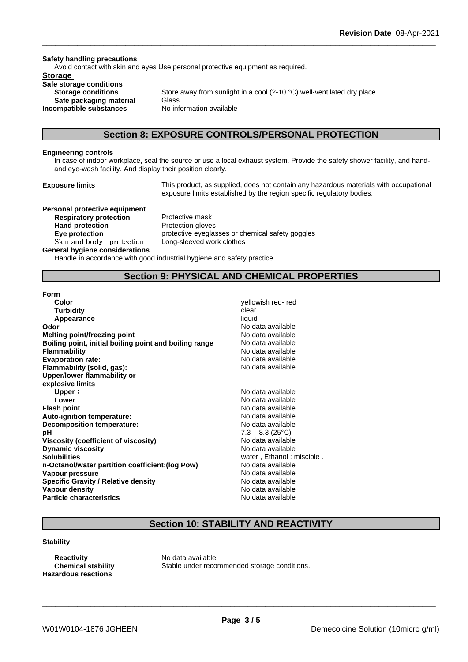#### **Safety handling precautions**

Avoid contact with skin and eyes Use personal protective equipment as required.

### **Storage**

**Safe storage conditions Safe packaging material** Glass **Incompatible substances** No information available

**Storage conditions** Store away from sunlight in a cool (2-10 °C) well-ventilated dry place.

## **Section 8: EXPOSURE CONTROLS/PERSONAL PROTECTION**

#### **Engineering controls**

In case of indoor workplace, seal the source or use a local exhaust system. Provide the safety shower facility, and handand eye-wash facility. And display their position clearly.

**Exposure limits** This product, as supplied, does not contain any hazardous materials with occupational exposure limits established by the region specific regulatory bodies.

**Personal protective equipment Respiratory protection** Protective mask Hand protection **Protection Protection** gloves **Skinandbody protection** Long-sleeved work clothes

**Eye protection protective eyeglasses or chemical safety goggles** 

#### **General hygiene considerations**

Handle in accordance with good industrial hygiene and safety practice.

## **Section 9: PHYSICAL AND CHEMICAL PROPERTIES**

#### **Form**

| Color                                                  | yellowish red-red         |
|--------------------------------------------------------|---------------------------|
| <b>Turbidity</b>                                       | clear                     |
| Appearance                                             | liquid                    |
| Odor                                                   | No data available         |
| <b>Melting point/freezing point</b>                    | No data available         |
| Boiling point, initial boiling point and boiling range | No data available         |
| <b>Flammability</b>                                    | No data available         |
| <b>Evaporation rate:</b>                               | No data available         |
| Flammability (solid, gas):                             | No data available         |
| Upper/lower flammability or                            |                           |
| explosive limits                                       |                           |
| Upper:                                                 | No data available         |
| Lower:                                                 | No data available         |
| <b>Flash point</b>                                     | No data available         |
| Auto-ignition temperature:                             | No data available         |
| <b>Decomposition temperature:</b>                      | No data available         |
| рH                                                     | $7.3 - 8.3$ (25 °C)       |
| Viscosity (coefficient of viscosity)                   | No data available         |
| <b>Dynamic viscosity</b>                               | No data available         |
| <b>Solubilities</b>                                    | water, Ethanol: miscible. |
| n-Octanol/water partition coefficient: (log Pow)       | No data available         |
| Vapour pressure                                        | No data available         |
| <b>Specific Gravity / Relative density</b>             | No data available         |
| Vapour density                                         | No data available         |
| <b>Particle characteristics</b>                        | No data available         |

### **Flammability** No data available **Evaporation rate:** No data available **Flammability (solid, gas):** No data available **Upper:** No data available **Lower:** No data available **Flash point** No data available **Auto-ignition temperature:** No data available **Decomposition temperature:** No data available **pH** 7.3 - 8.3 (25°C) **Viscosity (coefficient of viscosity)** No data available **Dynamic viscosity** No data available **Solubilities** water , Ethanol : miscible . **n-Octanol/water partition coefficient:(log Pow)** No data available **Vapour pressure** No data available **Specific Gravity / Relative density** No data available **Vapour density** No data available **Particle characteristics** No data available

\_\_\_\_\_\_\_\_\_\_\_\_\_\_\_\_\_\_\_\_\_\_\_\_\_\_\_\_\_\_\_\_\_\_\_\_\_\_\_\_\_\_\_\_\_\_\_\_\_\_\_\_\_\_\_\_\_\_\_\_\_\_\_\_\_\_\_\_\_\_\_\_\_\_\_\_\_\_\_\_\_\_\_\_\_\_\_\_\_\_

## **Section 10: STABILITY AND REACTIVITY**

#### **Stability**

**Reactivity** No data available **Hazardous reactions**

**Chemical stability** Stable under recommended storage conditions.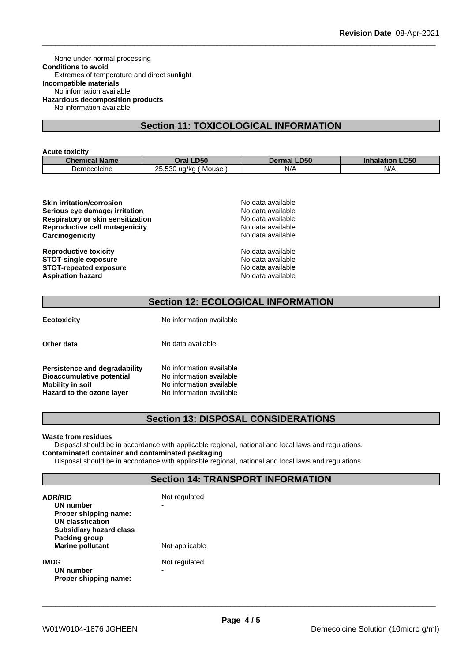None under normal processing **Conditions to avoid** Extremes of temperature and direct sunlight **Incompatible materials** No information available **Hazardous decomposition products** No information available

## **Section 11: TOXICOLOGICAL INFORMATION**

#### **Acute toxicity**

| <b>Chemical Name</b> | <b>LD50</b><br>Oral                                                                  | <b>_D50</b><br>Dermal | <b>Inhalation LC50</b> |
|----------------------|--------------------------------------------------------------------------------------|-----------------------|------------------------|
| Demecolcine          | $\Gamma$ <sup><math>\Omega</math></sup><br>$\sim$ $\sim$<br>ua/ka<br>Mouse<br>25.530 | N/t<br><b>11.1</b>    | N/r                    |

| No data available |  |
|-------------------|--|
| No data available |  |
| No data available |  |
| No data available |  |
| No data available |  |
| No data available |  |
| No data available |  |
| No data available |  |
| No data available |  |
|                   |  |

## **Section 12: ECOLOGICAL INFORMATION**

**Ecotoxicity** No information available

**Persistence and degradability** No information available<br>**Bioaccumulative potential** No information available **Bioaccumulative potential<br>Mobility in soil Mobility in soil** No information available **Hazard to the ozone layer** No information available

**Other data** No data available

## **Section 13: DISPOSAL CONSIDERATIONS**

#### **Waste from residues**

Disposal should be in accordance with applicable regional, national and local laws and regulations. **Contaminated container and contaminated packaging**

Disposal should be in accordance with applicable regional, national and local laws and regulations.

## **Section 14: TRANSPORT INFORMATION**

| <b>ADR/RID</b><br>UN number<br>Proper shipping name:<br>UN classfication<br><b>Subsidiary hazard class</b> | Not regulated      |  |  |
|------------------------------------------------------------------------------------------------------------|--------------------|--|--|
| Packing group<br><b>Marine pollutant</b>                                                                   | Not applicable     |  |  |
| <b>IMDG</b><br>UN number<br>Proper shipping name:                                                          | Not regulated<br>- |  |  |